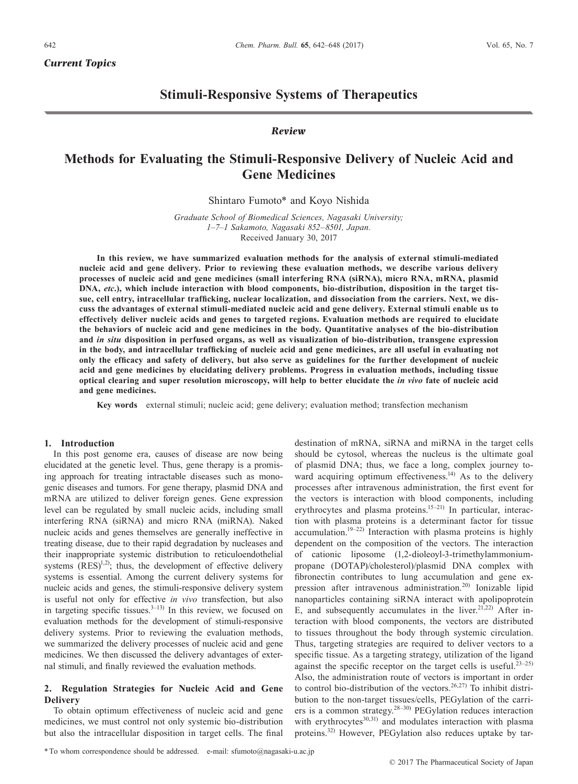*Current Topics*

# **Stimuli-Responsive Systems of Therapeutics**

# *Review*

# **Methods for Evaluating the Stimuli-Responsive Delivery of Nucleic Acid and Gene Medicines**

Shintaro Fumoto\* and Koyo Nishida

*Graduate School of Biomedical Sciences, Nagasaki University; 1–7–1 Sakamoto, Nagasaki 852–8501, Japan.* Received January 30, 2017

**In this review, we have summarized evaluation methods for the analysis of external stimuli-mediated nucleic acid and gene delivery. Prior to reviewing these evaluation methods, we describe various delivery processes of nucleic acid and gene medicines (small interfering RNA (siRNA), micro RNA, mRNA, plasmid DNA,** *etc.***), which include interaction with blood components, bio-distribution, disposition in the target tissue, cell entry, intracellular trafficking, nuclear localization, and dissociation from the carriers. Next, we discuss the advantages of external stimuli-mediated nucleic acid and gene delivery. External stimuli enable us to effectively deliver nucleic acids and genes to targeted regions. Evaluation methods are required to elucidate the behaviors of nucleic acid and gene medicines in the body. Quantitative analyses of the bio-distribution and** *in situ* **disposition in perfused organs, as well as visualization of bio-distribution, transgene expression in the body, and intracellular trafficking of nucleic acid and gene medicines, are all useful in evaluating not only the efficacy and safety of delivery, but also serve as guidelines for the further development of nucleic acid and gene medicines by elucidating delivery problems. Progress in evaluation methods, including tissue optical clearing and super resolution microscopy, will help to better elucidate the** *in vivo* **fate of nucleic acid and gene medicines.**

**Key words** external stimuli; nucleic acid; gene delivery; evaluation method; transfection mechanism

#### **1. Introduction**

In this post genome era, causes of disease are now being elucidated at the genetic level. Thus, gene therapy is a promising approach for treating intractable diseases such as monogenic diseases and tumors. For gene therapy, plasmid DNA and mRNA are utilized to deliver foreign genes. Gene expression level can be regulated by small nucleic acids, including small interfering RNA (siRNA) and micro RNA (miRNA). Naked nucleic acids and genes themselves are generally ineffective in treating disease, due to their rapid degradation by nucleases and their inappropriate systemic distribution to reticuloendothelial systems  $(RES)^{1,2)}$ ; thus, the development of effective delivery systems is essential. Among the current delivery systems for nucleic acids and genes, the stimuli-responsive delivery system is useful not only for effective *in vivo* transfection, but also in targeting specific tissues. $3-13$  In this review, we focused on evaluation methods for the development of stimuli-responsive delivery systems. Prior to reviewing the evaluation methods, we summarized the delivery processes of nucleic acid and gene medicines. We then discussed the delivery advantages of external stimuli, and finally reviewed the evaluation methods.

## **2. Regulation Strategies for Nucleic Acid and Gene Delivery**

To obtain optimum effectiveness of nucleic acid and gene medicines, we must control not only systemic bio-distribution but also the intracellular disposition in target cells. The final

destination of mRNA, siRNA and miRNA in the target cells should be cytosol, whereas the nucleus is the ultimate goal of plasmid DNA; thus, we face a long, complex journey toward acquiring optimum effectiveness. $14$ <sup>3</sup> As to the delivery processes after intravenous administration, the first event for the vectors is interaction with blood components, including erythrocytes and plasma proteins.<sup>15–21)</sup> In particular, interaction with plasma proteins is a determinant factor for tissue accumulation.<sup>19-22)</sup> Interaction with plasma proteins is highly dependent on the composition of the vectors. The interaction of cationic liposome (1,2-dioleoyl-3-trimethylammoniumpropane (DOTAP)/cholesterol)/plasmid DNA complex with fibronectin contributes to lung accumulation and gene expression after intravenous administration.<sup>20)</sup> Ionizable lipid nanoparticles containing siRNA interact with apolipoprotein E, and subsequently accumulates in the liver.<sup>21,22)</sup> After interaction with blood components, the vectors are distributed to tissues throughout the body through systemic circulation. Thus, targeting strategies are required to deliver vectors to a specific tissue. As a targeting strategy, utilization of the ligand against the specific receptor on the target cells is useful.<sup>23-25)</sup> Also, the administration route of vectors is important in order to control bio-distribution of the vectors.<sup>26,27)</sup> To inhibit distribution to the non-target tissues/cells, PEGylation of the carriers is a common strategy.<sup>28–30)</sup> PEGylation reduces interaction with erythrocytes $30,31)$  and modulates interaction with plasma proteins.<sup>32)</sup> However, PEGylation also reduces uptake by tar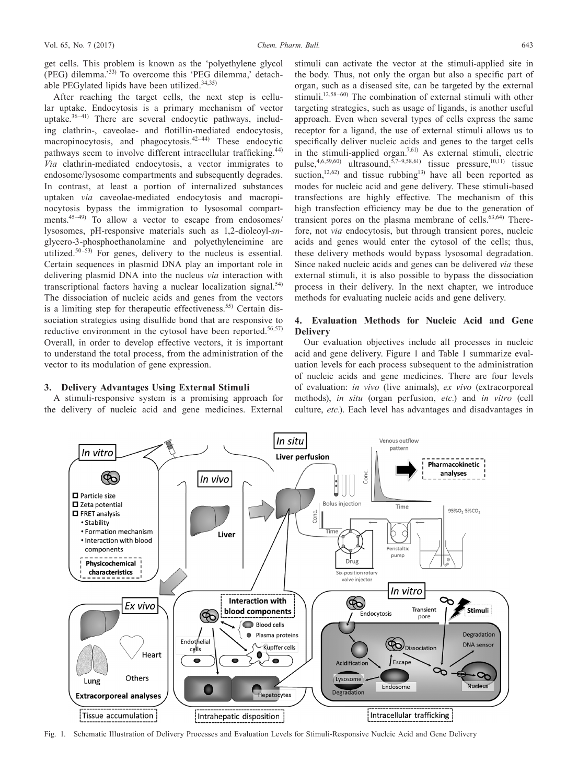get cells. This problem is known as the 'polyethylene glycol (PEG) dilemma.'33) To overcome this 'PEG dilemma,' detachable PEGylated lipids have been utilized.<sup>34,35)</sup>

After reaching the target cells, the next step is cellular uptake. Endocytosis is a primary mechanism of vector uptake. $36-41)$  There are several endocytic pathways, including clathrin-, caveolae- and flotillin-mediated endocytosis, macropinocytosis, and phagocytosis.<sup>42–44</sup>) These endocytic pathways seem to involve different intracellular trafficking.44) *Via* clathrin-mediated endocytosis, a vector immigrates to endosome/lysosome compartments and subsequently degrades. In contrast, at least a portion of internalized substances uptaken *via* caveolae-mediated endocytosis and macropinocytosis bypass the immigration to lysosomal compartments.<sup>45–49)</sup> To allow a vector to escape from endosomes/ lysosomes, pH-responsive materials such as 1,2-dioleoyl-*sn*glycero-3-phosphoethanolamine and polyethyleneimine are utilized.<sup>50–53)</sup> For genes, delivery to the nucleus is essential. Certain sequences in plasmid DNA play an important role in delivering plasmid DNA into the nucleus *via* interaction with transcriptional factors having a nuclear localization signal.54) The dissociation of nucleic acids and genes from the vectors is a limiting step for therapeutic effectiveness.<sup>55)</sup> Certain dissociation strategies using disulfide bond that are responsive to reductive environment in the cytosol have been reported.<sup>56,57)</sup> Overall, in order to develop effective vectors, it is important to understand the total process, from the administration of the vector to its modulation of gene expression.

#### **3. Delivery Advantages Using External Stimuli**

A stimuli-responsive system is a promising approach for the delivery of nucleic acid and gene medicines. External



#### **4. Evaluation Methods for Nucleic Acid and Gene Delivery**

Our evaluation objectives include all processes in nucleic acid and gene delivery. Figure 1 and Table 1 summarize evaluation levels for each process subsequent to the administration of nucleic acids and gene medicines. There are four levels of evaluation: *in vivo* (live animals), *ex vivo* (extracorporeal methods), *in situ* (organ perfusion, *etc.*) and *in vitro* (cell culture, *etc.*). Each level has advantages and disadvantages in



Fig. 1. Schematic Illustration of Delivery Processes and Evaluation Levels for Stimuli-Responsive Nucleic Acid and Gene Delivery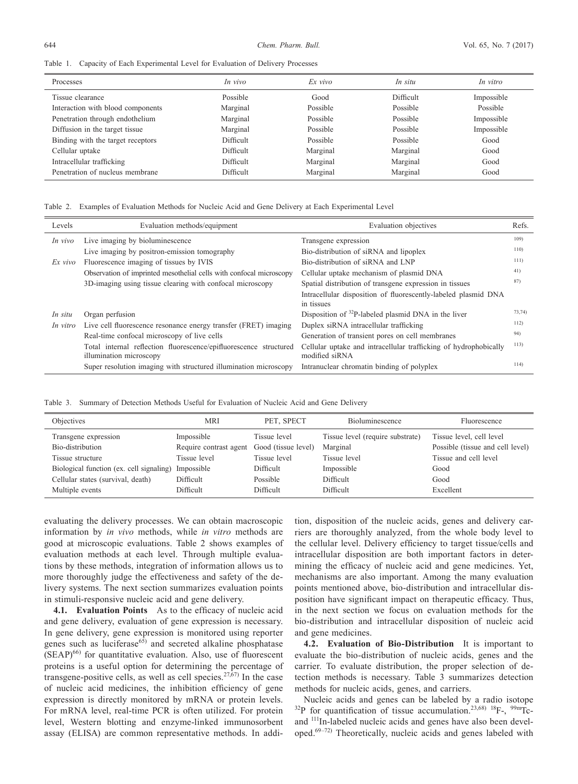Table 1. Capacity of Each Experimental Level for Evaluation of Delivery Processes

| <b>Processes</b>                  | In vivo   | Ex vivo  | In situ   | In vitro   |
|-----------------------------------|-----------|----------|-----------|------------|
| Tissue clearance                  | Possible  | Good     | Difficult | Impossible |
| Interaction with blood components | Marginal  | Possible | Possible  | Possible   |
| Penetration through endothelium   | Marginal  | Possible | Possible  | Impossible |
| Diffusion in the target tissue    | Marginal  | Possible | Possible  | Impossible |
| Binding with the target receptors | Difficult | Possible | Possible  | Good       |
| Cellular uptake                   | Difficult | Marginal | Marginal  | Good       |
| Intracellular trafficking         | Difficult | Marginal | Marginal  | Good       |
| Penetration of nucleus membrane   | Difficult | Marginal | Marginal  | Good       |
|                                   |           |          |           |            |

Table 2. Examples of Evaluation Methods for Nucleic Acid and Gene Delivery at Each Experimental Level

| Levels   | Evaluation methods/equipment                                                                 | Evaluation objectives                                                              | Refs.  |
|----------|----------------------------------------------------------------------------------------------|------------------------------------------------------------------------------------|--------|
| In vivo  | Live imaging by bioluminescence                                                              | Transgene expression                                                               | 109)   |
|          | Live imaging by positron-emission tomography                                                 | Bio-distribution of siRNA and lipoplex                                             | 110)   |
| Ex vivo  | Fluorescence imaging of tissues by IVIS                                                      | Bio-distribution of siRNA and LNP                                                  | 111)   |
|          | Observation of imprinted mesothelial cells with confocal microscopy                          | Cellular uptake mechanism of plasmid DNA                                           | 41)    |
|          | 3D-imaging using tissue clearing with confocal microscopy                                    | Spatial distribution of transgene expression in tissues                            | 87)    |
|          |                                                                                              | Intracellular disposition of fluorescently-labeled plasmid DNA<br>in tissues       |        |
| In situ  | Organ perfusion                                                                              | Disposition of $32P$ -labeled plasmid DNA in the liver                             | 73,74) |
| In vitro | Live cell fluorescence resonance energy transfer (FRET) imaging                              | Duplex siRNA intracellular trafficking                                             | 112)   |
|          | Real-time confocal microscopy of live cells                                                  | Generation of transient pores on cell membranes                                    | 94)    |
|          | Total internal reflection fluorescence/epifluorescence structured<br>illumination microscopy | Cellular uptake and intracellular trafficking of hydrophobically<br>modified siRNA | 113)   |
|          | Super resolution imaging with structured illumination microscopy                             | Intranuclear chromatin binding of polyplex                                         | 114)   |

Table 3. Summary of Detection Methods Useful for Evaluation of Nucleic Acid and Gene Delivery

| <i><b>Objectives</b></i>                            | <b>MRI</b>                                 | PET, SPECT   | Bioluminescence                  | Fluorescence                     |
|-----------------------------------------------------|--------------------------------------------|--------------|----------------------------------|----------------------------------|
| Transgene expression                                | Impossible                                 | Tissue level | Tissue level (require substrate) | Tissue level, cell level         |
| Bio-distribution                                    | Require contrast agent Good (tissue level) |              | Marginal                         | Possible (tissue and cell level) |
| Tissue structure                                    | Tissue level                               | Tissue level | Tissue level                     | Tissue and cell level            |
| Biological function (ex. cell signaling) Impossible |                                            | Difficult    | Impossible                       | Good                             |
| Cellular states (survival, death)                   | Difficult                                  | Possible     | Difficult                        | Good                             |
| Multiple events                                     | Difficult                                  | Difficult    | Difficult                        | Excellent                        |

evaluating the delivery processes. We can obtain macroscopic information by *in vivo* methods, while *in vitro* methods are good at microscopic evaluations. Table 2 shows examples of evaluation methods at each level. Through multiple evaluations by these methods, integration of information allows us to more thoroughly judge the effectiveness and safety of the delivery systems. The next section summarizes evaluation points in stimuli-responsive nucleic acid and gene delivery.

**4.1. Evaluation Points** As to the efficacy of nucleic acid and gene delivery, evaluation of gene expression is necessary. In gene delivery, gene expression is monitored using reporter genes such as luciferase<sup>65)</sup> and secreted alkaline phosphatase  $(SEAP)^{66}$  for quantitative evaluation. Also, use of fluorescent proteins is a useful option for determining the percentage of transgene-positive cells, as well as cell species.<sup>27,67)</sup> In the case of nucleic acid medicines, the inhibition efficiency of gene expression is directly monitored by mRNA or protein levels. For mRNA level, real-time PCR is often utilized. For protein level, Western blotting and enzyme-linked immunosorbent assay (ELISA) are common representative methods. In addition, disposition of the nucleic acids, genes and delivery carriers are thoroughly analyzed, from the whole body level to the cellular level. Delivery efficiency to target tissue/cells and intracellular disposition are both important factors in determining the efficacy of nucleic acid and gene medicines. Yet, mechanisms are also important. Among the many evaluation points mentioned above, bio-distribution and intracellular disposition have significant impact on therapeutic efficacy. Thus, in the next section we focus on evaluation methods for the bio-distribution and intracellular disposition of nucleic acid and gene medicines.

**4.2. Evaluation of Bio-Distribution** It is important to evaluate the bio-distribution of nucleic acids, genes and the carrier. To evaluate distribution, the proper selection of detection methods is necessary. Table 3 summarizes detection methods for nucleic acids, genes, and carriers.

Nucleic acids and genes can be labeled by a radio isotope  ${}^{32}P$  for quantification of tissue accumulation.<sup>23,68)</sup>  ${}^{18}F$ -,  ${}^{99m}Tc$ and <sup>111</sup>In-labeled nucleic acids and genes have also been developed.69–72) Theoretically, nucleic acids and genes labeled with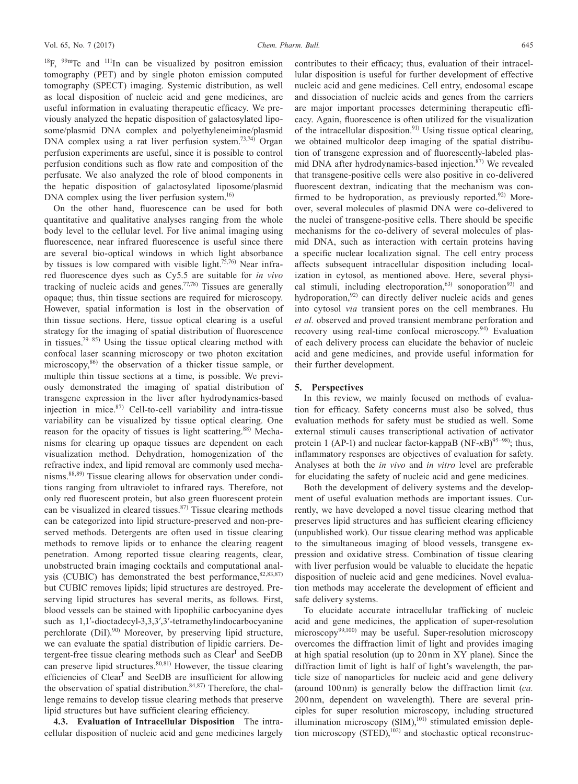$18F$ ,  $99m$ Tc and  $111$ In can be visualized by positron emission tomography (PET) and by single photon emission computed tomography (SPECT) imaging. Systemic distribution, as well as local disposition of nucleic acid and gene medicines, are useful information in evaluating therapeutic efficacy. We previously analyzed the hepatic disposition of galactosylated liposome/plasmid DNA complex and polyethyleneimine/plasmid DNA complex using a rat liver perfusion system.<sup>73,74)</sup> Organ perfusion experiments are useful, since it is possible to control perfusion conditions such as flow rate and composition of the perfusate. We also analyzed the role of blood components in the hepatic disposition of galactosylated liposome/plasmid DNA complex using the liver perfusion system.<sup>16)</sup>

On the other hand, fluorescence can be used for both quantitative and qualitative analyses ranging from the whole body level to the cellular level. For live animal imaging using fluorescence, near infrared fluorescence is useful since there are several bio-optical windows in which light absorbance by tissues is low compared with visible light.<sup>75,76)</sup> Near infrared fluorescence dyes such as Cy5.5 are suitable for *in vivo* tracking of nucleic acids and genes.77,78) Tissues are generally opaque; thus, thin tissue sections are required for microscopy. However, spatial information is lost in the observation of thin tissue sections. Here, tissue optical clearing is a useful strategy for the imaging of spatial distribution of fluorescence in tissues.<sup>79–85)</sup> Using the tissue optical clearing method with confocal laser scanning microscopy or two photon excitation microscopy,<sup>86)</sup> the observation of a thicker tissue sample, or multiple thin tissue sections at a time, is possible. We previously demonstrated the imaging of spatial distribution of transgene expression in the liver after hydrodynamics-based injection in mice.87) Cell-to-cell variability and intra-tissue variability can be visualized by tissue optical clearing. One reason for the opacity of tissues is light scattering.<sup>88)</sup> Mechanisms for clearing up opaque tissues are dependent on each visualization method. Dehydration, homogenization of the refractive index, and lipid removal are commonly used mechanisms.88,89) Tissue clearing allows for observation under conditions ranging from ultraviolet to infrared rays. Therefore, not only red fluorescent protein, but also green fluorescent protein can be visualized in cleared tissues. $87$  Tissue clearing methods can be categorized into lipid structure-preserved and non-preserved methods. Detergents are often used in tissue clearing methods to remove lipids or to enhance the clearing reagent penetration. Among reported tissue clearing reagents, clear, unobstructed brain imaging cocktails and computational analysis (CUBIC) has demonstrated the best performance,  $82,83,87$ ) but CUBIC removes lipids; lipid structures are destroyed. Preserving lipid structures has several merits, as follows. First, blood vessels can be stained with lipophilic carbocyanine dyes such as 1,1'-dioctadecyl-3,3,3',3'-tetramethylindocarbocyanine perchlorate (DiI).<sup>90)</sup> Moreover, by preserving lipid structure, we can evaluate the spatial distribution of lipidic carriers. Detergent-free tissue clearing methods such as  $Clear<sup>T</sup>$  and SeeDB can preserve lipid structures. $80,81)$  However, the tissue clearing efficiencies of Clear<sup>T</sup> and SeeDB are insufficient for allowing the observation of spatial distribution. $84,87$ ) Therefore, the challenge remains to develop tissue clearing methods that preserve lipid structures but have sufficient clearing efficiency.

**4.3. Evaluation of Intracellular Disposition** The intracellular disposition of nucleic acid and gene medicines largely

contributes to their efficacy; thus, evaluation of their intracellular disposition is useful for further development of effective nucleic acid and gene medicines. Cell entry, endosomal escape and dissociation of nucleic acids and genes from the carriers are major important processes determining therapeutic efficacy. Again, fluorescence is often utilized for the visualization of the intracellular disposition.<sup>91)</sup> Using tissue optical clearing, we obtained multicolor deep imaging of the spatial distribution of transgene expression and of fluorescently-labeled plasmid DNA after hydrodynamics-based injection.<sup>87)</sup> We revealed that transgene-positive cells were also positive in co-delivered fluorescent dextran, indicating that the mechanism was confirmed to be hydroporation, as previously reported.<sup>92)</sup> Moreover, several molecules of plasmid DNA were co-delivered to the nuclei of transgene-positive cells. There should be specific mechanisms for the co-delivery of several molecules of plasmid DNA, such as interaction with certain proteins having a specific nuclear localization signal. The cell entry process affects subsequent intracellular disposition including localization in cytosol, as mentioned above. Here, several physical stimuli, including electroporation, $63$ ) sonoporation $93$ ) and hydroporation, $92$  can directly deliver nucleic acids and genes into cytosol *via* transient pores on the cell membranes. Hu *et al.* observed and proved transient membrane perforation and recovery using real-time confocal microscopy.<sup>94)</sup> Evaluation of each delivery process can elucidate the behavior of nucleic acid and gene medicines, and provide useful information for their further development.

#### **5. Perspectives**

In this review, we mainly focused on methods of evaluation for efficacy. Safety concerns must also be solved, thus evaluation methods for safety must be studied as well. Some external stimuli causes transcriptional activation of activator protein 1 (AP-1) and nuclear factor-kappaB (NF-*κ*B)<sup>95–98)</sup>; thus, inflammatory responses are objectives of evaluation for safety. Analyses at both the *in vivo* and *in vitro* level are preferable for elucidating the safety of nucleic acid and gene medicines.

Both the development of delivery systems and the development of useful evaluation methods are important issues. Currently, we have developed a novel tissue clearing method that preserves lipid structures and has sufficient clearing efficiency (unpublished work). Our tissue clearing method was applicable to the simultaneous imaging of blood vessels, transgene expression and oxidative stress. Combination of tissue clearing with liver perfusion would be valuable to elucidate the hepatic disposition of nucleic acid and gene medicines. Novel evaluation methods may accelerate the development of efficient and safe delivery systems.

To elucidate accurate intracellular trafficking of nucleic acid and gene medicines, the application of super-resolution microscopy $99,100$  may be useful. Super-resolution microscopy overcomes the diffraction limit of light and provides imaging at high spatial resolution (up to 20 nm in XY plane). Since the diffraction limit of light is half of light's wavelength, the particle size of nanoparticles for nucleic acid and gene delivery (around 100 nm) is generally below the diffraction limit (*ca.* 200 nm, dependent on wavelength). There are several principles for super resolution microscopy, including structured illumination microscopy  $(SIM),<sup>101</sup>$  stimulated emission depletion microscopy  $(STED)$ ,<sup>102)</sup> and stochastic optical reconstruc-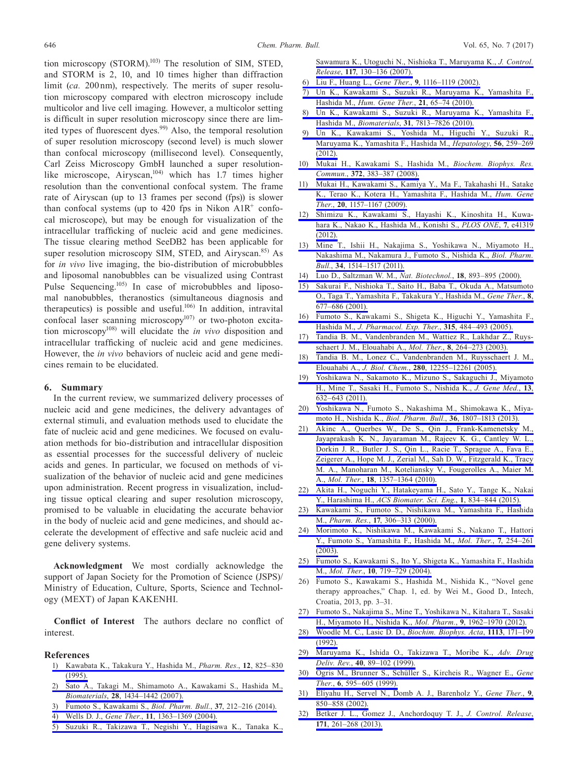tion microscopy (STORM).<sup>103)</sup> The resolution of SIM, STED, and STORM is 2, 10, and 10 times higher than diffraction limit (*ca.* 200 nm), respectively. The merits of super resolution microscopy compared with electron microscopy include multicolor and live cell imaging. However, a multicolor setting is difficult in super resolution microscopy since there are limited types of fluorescent dyes.99) Also, the temporal resolution of super resolution microscopy (second level) is much slower than confocal microscopy (millisecond level). Consequently, Carl Zeiss Microscopy GmbH launched a super resolutionlike microscope, Airyscan,<sup>104)</sup> which has 1.7 times higher resolution than the conventional confocal system. The frame rate of Airyscan (up to 13 frames per second (fps)) is slower than confocal systems (up to 420 fps in Nikon  $A1R^+$  confocal microscope), but may be enough for visualization of the intracellular trafficking of nucleic acid and gene medicines. The tissue clearing method SeeDB2 has been applicable for super resolution microscopy SIM, STED, and Airyscan.<sup>85)</sup> As for *in vivo* live imaging, the bio-distribution of microbubbles and liposomal nanobubbles can be visualized using Contrast Pulse Sequencing.<sup>105)</sup> In case of microbubbles and liposomal nanobubbles, theranostics (simultaneous diagnosis and therapeutics) is possible and useful. $106$  In addition, intravital confocal laser scanning microscopy<sup>107)</sup> or two-photon excitation microscopy108) will elucidate the *in vivo* disposition and intracellular trafficking of nucleic acid and gene medicines. However, the *in vivo* behaviors of nucleic acid and gene medicines remain to be elucidated.

### **6. Summary**

In the current review, we summarized delivery processes of nucleic acid and gene medicines, the delivery advantages of external stimuli, and evaluation methods used to elucidate the fate of nucleic acid and gene medicines. We focused on evaluation methods for bio-distribution and intracellular disposition as essential processes for the successful delivery of nucleic acids and genes. In particular, we focused on methods of visualization of the behavior of nucleic acid and gene medicines upon administration. Recent progress in visualization, including tissue optical clearing and super resolution microscopy, promised to be valuable in elucidating the accurate behavior in the body of nucleic acid and gene medicines, and should accelerate the development of effective and safe nucleic acid and gene delivery systems.

**Acknowledgment** We most cordially acknowledge the support of Japan Society for the Promotion of Science (JSPS)/ Ministry of Education, Culture, Sports, Science and Technology (MEXT) of Japan KAKENHI.

**Conflict of Interest** The authors declare no conflict of interest.

#### **References**

- [1\) Kawabata K., Takakura Y., Hashida M.,](http://dx.doi.org/10.1023/A:1016248701505) *Pharm. Res.*, **12**, 825–830 [\(1995\).](http://dx.doi.org/10.1023/A:1016248701505)
- [2\) Sato A., Takagi M., Shimamoto A., Kawakami S., Hashida M.,](http://dx.doi.org/10.1016/j.biomaterials.2006.11.010)  *Biomaterials*, **28**[, 1434–1442 \(2007\).](http://dx.doi.org/10.1016/j.biomaterials.2006.11.010)
- [3\) Fumoto S., Kawakami S.,](http://dx.doi.org/10.1248/bpb.b13-00703) *Biol. Pharm. Bull.*, **37**, 212–216 (2014).
- 4) Wells D. J., *Gene Ther.*, **11**[, 1363–1369 \(2004\).](http://dx.doi.org/10.1038/sj.gt.3302337)
- [5\) Suzuki R., Takizawa T., Negishi Y., Hagisawa K., Tanaka K.,](http://dx.doi.org/10.1016/j.jconrel.2006.09.008)

[Sawamura K., Utoguchi N., Nishioka T., Maruyama K.,](http://dx.doi.org/10.1016/j.jconrel.2006.09.008) *J. Control. Release*, **117**[, 130–136 \(2007\).](http://dx.doi.org/10.1016/j.jconrel.2006.09.008)

- [6\) Liu F., Huang L.,](http://dx.doi.org/10.1038/sj.gt.3301733) *Gene Ther.*, **9**, 1116–1119 (2002).
- [7\) Un K., Kawakami S., Suzuki R., Maruyama K., Yamashita F.,](http://dx.doi.org/10.1089/hum.2009.106)  Hashida M., *[Hum. Gene Ther.](http://dx.doi.org/10.1089/hum.2009.106)*, **21**, 65–74 (2010).
- [8\) Un K., Kawakami S., Suzuki R., Maruyama K., Yamashita F.,](http://dx.doi.org/10.1016/j.biomaterials.2010.06.058)  Hashida M., *Biomaterials*, **31**[, 7813–7826 \(2010\).](http://dx.doi.org/10.1016/j.biomaterials.2010.06.058)
- [9\) Un K., Kawakami S., Yoshida M., Higuchi Y., Suzuki R.,](http://dx.doi.org/10.1002/hep.25607)  [Maruyama K., Yamashita F., Hashida M.,](http://dx.doi.org/10.1002/hep.25607) *Hepatology*, **56**, 259–269 [\(2012\).](http://dx.doi.org/10.1002/hep.25607)
- [10\) Mukai H., Kawakami S., Hashida M.,](http://dx.doi.org/10.1016/j.bbrc.2008.04.097) *Biochem. Biophys. Res. Commun.*, **372**[, 383–387 \(2008\).](http://dx.doi.org/10.1016/j.bbrc.2008.04.097)
- [11\) Mukai H., Kawakami S., Kamiya Y., Ma F., Takahashi H., Satake](http://dx.doi.org/10.1089/hum.2008.213)  [K., Terao K., Kotera H., Yamashita F., Hashida M.,](http://dx.doi.org/10.1089/hum.2008.213) *Hum. Gene Ther.*, **20**[, 1157–1167 \(2009\).](http://dx.doi.org/10.1089/hum.2008.213)
- [12\) Shimizu K., Kawakami S., Hayashi K., Kinoshita H., Kuwa](http://dx.doi.org/10.1371/journal.pone.0041319)[hara K., Nakao K., Hashida M., Konishi S.,](http://dx.doi.org/10.1371/journal.pone.0041319) *PLOS ONE*, **7**, e41319 [\(2012\).](http://dx.doi.org/10.1371/journal.pone.0041319)
- [13\) Mine T., Ishii H., Nakajima S., Yoshikawa N., Miyamoto H.,](http://dx.doi.org/10.1248/bpb.34.1514)  [Nakashima M., Nakamura J., Fumoto S., Nishida K.,](http://dx.doi.org/10.1248/bpb.34.1514) *Biol. Pharm. Bull.*, **34**[, 1514–1517 \(2011\).](http://dx.doi.org/10.1248/bpb.34.1514)
- [14\) Luo D., Saltzman W. M.,](http://dx.doi.org/10.1038/78523) *Nat. Biotechnol.*, **18**, 893–895 (2000).
- [15\) Sakurai F., Nishioka T., Saito H., Baba T., Okuda A., Matsumoto](http://dx.doi.org/10.1038/sj.gt.3301460)  [O., Taga T., Yamashita F., Takakura Y., Hashida M.,](http://dx.doi.org/10.1038/sj.gt.3301460) *Gene Ther.*, **8**, [677–686 \(2001\).](http://dx.doi.org/10.1038/sj.gt.3301460)
- [16\) Fumoto S., Kawakami S., Shigeta K., Higuchi Y., Yamashita F.,](http://dx.doi.org/10.1124/jpet.105.089516)  Hashida M., *[J. Pharmacol. Exp. Ther.](http://dx.doi.org/10.1124/jpet.105.089516)*, **315**, 484–493 (2005).
- [17\) Tandia B. M., Vandenbranden M., Wattiez R., Lakhdar Z., Ruys](http://dx.doi.org/10.1016/S1525-0016(03)00150-3)[schaert J. M., Elouahabi A.,](http://dx.doi.org/10.1016/S1525-0016(03)00150-3) *Mol. Ther.*, **8**, 264–273 (2003).
- [18\) Tandia B. M., Lonez C., Vandenbranden M., Ruysschaert J. M.,](http://dx.doi.org/10.1074/jbc.M414517200)  Elouahabi A., *J. Biol. Chem.*, **280**[, 12255–12261 \(2005\).](http://dx.doi.org/10.1074/jbc.M414517200)
- [19\) Yoshikawa N., Sakamoto K., Mizuno S., Sakaguchi J., Miyamoto](http://dx.doi.org/10.1002/jgm.1618)  [H., Mine T., Sasaki H., Fumoto S., Nishida K.,](http://dx.doi.org/10.1002/jgm.1618) *J. Gene Med.*, **13**, [632–643 \(2011\).](http://dx.doi.org/10.1002/jgm.1618)
- [20\) Yoshikawa N., Fumoto S., Nakashima M., Shimokawa K., Miya](http://dx.doi.org/10.1248/bpb.b13-00500)[moto H., Nishida K.,](http://dx.doi.org/10.1248/bpb.b13-00500) *Biol. Pharm. Bull.*, **36**, 1807–1813 (2013).
- [21\) Akinc A., Querbes W., De S., Qin J., Frank-Kamenetsky M.,](http://dx.doi.org/10.1038/mt.2010.85)  [Jayaprakash K. N., Jayaraman M., Rajeev K. G., Cantley W. L.,](http://dx.doi.org/10.1038/mt.2010.85)  [Dorkin J. R., Butler J. S., Qin L., Racie T., Sprague A., Fava E.,](http://dx.doi.org/10.1038/mt.2010.85)  [Zeigerer A., Hope M. J., Zerial M., Sah D. W., Fitzgerald K., Tracy](http://dx.doi.org/10.1038/mt.2010.85)  [M. A., Manoharan M., Koteliansky V., Fougerolles A., Maier M.](http://dx.doi.org/10.1038/mt.2010.85)  A., *Mol. Ther.*, **18**[, 1357–1364 \(2010\).](http://dx.doi.org/10.1038/mt.2010.85)
- [22\) Akita H., Noguchi Y., Hatakeyama H., Sato Y., Tange K., Nakai](http://dx.doi.org/10.1021/acsbiomaterials.5b00203)  Y., Harashima H., *[ACS Biomater. Sci. Eng.](http://dx.doi.org/10.1021/acsbiomaterials.5b00203)*, **1**, 834–844 (2015).
- [23\) Kawakami S., Fumoto S., Nishikawa M., Yamashita F., Hashida](http://dx.doi.org/10.1023/A:1007501122611)  M., *Pharm. Res.*, **17**[, 306–313 \(2000\).](http://dx.doi.org/10.1023/A:1007501122611)
- [24\) Morimoto K., Nishikawa M., Kawakami S., Nakano T., Hattori](http://dx.doi.org/10.1016/S1525-0016(02)00053-9)  [Y., Fumoto S., Yamashita F., Hashida M.,](http://dx.doi.org/10.1016/S1525-0016(02)00053-9) *Mol. Ther.*, **7**, 254–261 [\(2003\).](http://dx.doi.org/10.1016/S1525-0016(02)00053-9)
- [25\) Fumoto S., Kawakami S., Ito Y., Shigeta K., Yamashita F., Hashida](http://dx.doi.org/10.1016/j.ymthe.2004.07.015)  M., *Mol. Ther.*, **10**[, 719–729 \(2004\).](http://dx.doi.org/10.1016/j.ymthe.2004.07.015)
- 26) Fumoto S., Kawakami S., Hashida M., Nishida K., "Novel gene therapy approaches," Chap. 1, ed. by Wei M., Good D., Intech, Croatia, 2013, pp. 3–31.
- [27\) Fumoto S., Nakajima S., Mine T., Yoshikawa N., Kitahara T., Sasaki](http://dx.doi.org/10.1021/mp2006592)  [H., Miyamoto H., Nishida K.,](http://dx.doi.org/10.1021/mp2006592) *Mol. Pharm.*, **9**, 1962–1970 (2012).
- [28\) Woodle M. C., Lasic D. D.,](http://dx.doi.org/10.1016/0304-4157(92)90038-C) *Biochim. Biophys. Acta*, **1113**, 171–199 [\(1992\).](http://dx.doi.org/10.1016/0304-4157(92)90038-C)
- [29\) Maruyama K., Ishida O., Takizawa T., Moribe K.,](http://dx.doi.org/10.1016/S0169-409X(99)00042-3) *Adv. Drug Deliv. Rev.*, **40**[, 89–102 \(1999\).](http://dx.doi.org/10.1016/S0169-409X(99)00042-3)
- [30\) Ogris M., Brunner S., Schüller S., Kircheis R., Wagner E.,](http://dx.doi.org/10.1038/sj.gt.3300900) *Gene Ther.*, **6**[, 595–605 \(1999\).](http://dx.doi.org/10.1038/sj.gt.3300900)
- [31\) Eliyahu H., Servel N., Domb A. J., Barenholz Y.,](http://dx.doi.org/10.1038/sj.gt.3301705) *Gene Ther.*, **9**, [850–858 \(2002\).](http://dx.doi.org/10.1038/sj.gt.3301705)
- [32\) Betker J. L., Gomez J., Anchordoquy T. J.,](http://dx.doi.org/10.1016/j.jconrel.2013.07.024) *J. Control. Release*, **171**[, 261–268 \(2013\).](http://dx.doi.org/10.1016/j.jconrel.2013.07.024)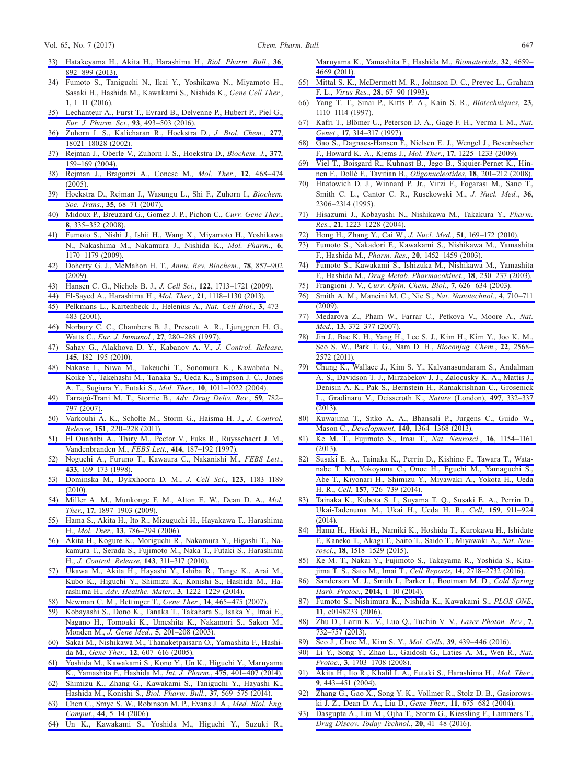- [33\) Hatakeyama H., Akita H., Harashima H.,](http://dx.doi.org/10.1248/bpb.b13-00059) *Biol. Pharm. Bull.*, **36**, [892–899 \(2013\).](http://dx.doi.org/10.1248/bpb.b13-00059)
- 34) Fumoto S., Taniguchi N., Ikai Y., Yoshikawa N., Miyamoto H., Sasaki H., Hashida M., Kawakami S., Nishida K., *Gene Cell Ther.*, **1**, 1–11 (2016).
- [35\) Lechanteur A., Furst T., Evrard B., Delvenne P., Hubert P., Piel G.,](http://dx.doi.org/10.1016/j.ejps.2016.08.058)  *[Eur. J. Pharm. Sci.](http://dx.doi.org/10.1016/j.ejps.2016.08.058)*, **93**, 493–503 (2016).
- [36\) Zuhorn I. S., Kalicharan R., Hoekstra D.,](http://dx.doi.org/10.1074/jbc.M111257200) *J. Biol. Chem.*, **277**, [18021–18028 \(2002\).](http://dx.doi.org/10.1074/jbc.M111257200)
- [37\) Rejman J., Oberle V., Zuhorn I. S., Hoekstra D.,](http://dx.doi.org/10.1042/bj20031253) *Biochem. J.*, **377**, [159–169 \(2004\).](http://dx.doi.org/10.1042/bj20031253)
- [38\) Rejman J., Bragonzi A., Conese M.,](http://dx.doi.org/10.1016/j.ymthe.2005.03.038) *Mol. Ther.*, **12**, 468–474 [\(2005\).](http://dx.doi.org/10.1016/j.ymthe.2005.03.038)
- [39\) Hoekstra D., Rejman J., Wasungu L., Shi F., Zuhorn I.,](http://dx.doi.org/10.1042/BST0350068) *Biochem. Soc. Trans.*, **35**[, 68–71 \(2007\).](http://dx.doi.org/10.1042/BST0350068)
- [40\) Midoux P., Breuzard G., Gomez J. P., Pichon C.,](http://dx.doi.org/10.2174/156652308786071014) *Curr. Gene Ther.*, **8**[, 335–352 \(2008\).](http://dx.doi.org/10.2174/156652308786071014)
- [41\) Fumoto S., Nishi J., Ishii H., Wang X., Miyamoto H., Yoshikawa](http://dx.doi.org/10.1021/mp900042p)  [N., Nakashima M., Nakamura J., Nishida K.,](http://dx.doi.org/10.1021/mp900042p) *Mol. Pharm.*, **6**, [1170–1179 \(2009\).](http://dx.doi.org/10.1021/mp900042p)
- [42\) Doherty G. J., McMahon H. T.,](http://dx.doi.org/10.1146/annurev.biochem.78.081307.110540) *Annu. Rev. Biochem.*, **78**, 857–902 [\(2009\).](http://dx.doi.org/10.1146/annurev.biochem.78.081307.110540)
- [43\) Hansen C. G., Nichols B. J.,](http://dx.doi.org/10.1242/jcs.033951) *J. Cell Sci.*, **122**, 1713–1721 (2009).
- [44\) El-Sayed A., Harashima H.,](http://dx.doi.org/10.1038/mt.2013.54) *Mol. Ther.*, **21**, 1118–1130 (2013).
- [45\) Pelkmans L., Kartenbeck J., Helenius A.,](http://dx.doi.org/10.1038/35074539) *Nat. Cell Biol.*, **3**, 473– [483 \(2001\).](http://dx.doi.org/10.1038/35074539)
- [46\) Norbury C. C., Chambers B. J., Prescott A. R., Ljunggren H. G.,](http://dx.doi.org/10.1002/eji.1830270141)  Watts C., *Eur. J. Immunol.*, **27**[, 280–288 \(1997\).](http://dx.doi.org/10.1002/eji.1830270141)
- [47\) Sahay G., Alakhova D. Y., Kabanov A. V.,](http://dx.doi.org/10.1016/j.jconrel.2010.01.036) *J. Control. Release*, **145**[, 182–195 \(2010\).](http://dx.doi.org/10.1016/j.jconrel.2010.01.036)
- [48\) Nakase I., Niwa M., Takeuchi T., Sonomura K., Kawabata N.,](http://dx.doi.org/10.1016/j.ymthe.2004.08.010)  [Koike Y., Takehashi M., Tanaka S., Ueda K., Simpson J. C., Jones](http://dx.doi.org/10.1016/j.ymthe.2004.08.010)  [A. T., Sugiura Y., Futaki S.,](http://dx.doi.org/10.1016/j.ymthe.2004.08.010) *Mol. Ther.*, **10**, 1011–1022 (2004).
- [49\) Tarragó-Trani M. T., Storrie B.,](http://dx.doi.org/10.1016/j.addr.2007.06.006) *Adv. Drug Deliv. Rev.*, **59**, 782– [797 \(2007\).](http://dx.doi.org/10.1016/j.addr.2007.06.006)
- [50\) Varkouhi A. K., Scholte M., Storm G., Haisma H. J.,](http://dx.doi.org/10.1016/j.jconrel.2010.11.004) *J. Control. Release*, **151**[, 220–228 \(2011\).](http://dx.doi.org/10.1016/j.jconrel.2010.11.004)
- [51\) El Ouahabi A., Thiry M., Pector V., Fuks R., Ruysschaert J. M.,](http://dx.doi.org/10.1016/S0014-5793(97)00973-3)  [Vandenbranden M.,](http://dx.doi.org/10.1016/S0014-5793(97)00973-3) *FEBS Lett.*, **414**, 187–192 (1997).
- [52\) Noguchi A., Furuno T., Kawaura C., Nakanishi M.,](http://dx.doi.org/10.1016/S0014-5793(98)00837-0) *FEBS Lett.*, **433**[, 169–173 \(1998\).](http://dx.doi.org/10.1016/S0014-5793(98)00837-0)
- [53\) Dominska M., Dykxhoorn D. M.,](http://dx.doi.org/10.1242/jcs.066399) *J. Cell Sci.*, **123**, 1183–1189 [\(2010\).](http://dx.doi.org/10.1242/jcs.066399)
- [54\) Miller A. M., Munkonge F. M., Alton E. W., Dean D. A.,](http://dx.doi.org/10.1038/mt.2009.127) *Mol. Ther.*, **17**[, 1897–1903 \(2009\).](http://dx.doi.org/10.1038/mt.2009.127)
- [55\) Hama S., Akita H., Ito R., Mizuguchi H., Hayakawa T., Harashima](http://dx.doi.org/10.1016/j.ymthe.2005.10.007)  H., *Mol. Ther.*, **13**[, 786–794 \(2006\).](http://dx.doi.org/10.1016/j.ymthe.2005.10.007)
- [56\) Akita H., Kogure K., Moriguchi R., Nakamura Y., Higashi T., Na](http://dx.doi.org/10.1016/j.jconrel.2010.01.012)[kamura T., Serada S., Fujimoto M., Naka T., Futaki S., Harashima](http://dx.doi.org/10.1016/j.jconrel.2010.01.012)  H., *[J. Control. Release](http://dx.doi.org/10.1016/j.jconrel.2010.01.012)*, **143**, 311–317 (2010).
- [57\) Ukawa M., Akita H., Hayashi Y., Ishiba R., Tange K., Arai M.,](http://dx.doi.org/10.1002/adhm.201300629)  [Kubo K., Higuchi Y., Shimizu K., Konishi S., Hashida M., Ha](http://dx.doi.org/10.1002/adhm.201300629)rashima H., *[Adv. Healthc. Mater.](http://dx.doi.org/10.1002/adhm.201300629)*, **3**, 1222–1229 (2014).
- [58\) Newman C. M., Bettinger T.,](http://dx.doi.org/10.1038/sj.gt.3302925) *Gene Ther.*, **14**, 465–475 (2007).
- [59\) Kobayashi S., Dono K., Tanaka T., Takahara S., Isaka Y., Imai E.,](http://dx.doi.org/10.1002/jgm.329)  [Nagano H., Tomoaki K., Umeshita K., Nakamori S., Sakon M.,](http://dx.doi.org/10.1002/jgm.329)  Monden M., *J. Gene Med.*, **5**[, 201–208 \(2003\).](http://dx.doi.org/10.1002/jgm.329)
- [60\) Sakai M., Nishikawa M., Thanaketpaisarn O., Yamashita F., Hashi](http://dx.doi.org/10.1038/sj.gt.3302435)da M., *Gene Ther.*, **12**[, 607–616 \(2005\).](http://dx.doi.org/10.1038/sj.gt.3302435)
- [61\) Yoshida M., Kawakami S., Kono Y., Un K., Higuchi Y., Maruyama](http://dx.doi.org/10.1016/j.ijpharm.2014.09.005)  [K., Yamashita F., Hashida M.,](http://dx.doi.org/10.1016/j.ijpharm.2014.09.005) *Int. J. Pharm.*, **475**, 401–407 (2014).
- [62\) Shimizu K., Zhang G., Kawakami S., Taniguchi Y., Hayashi K.,](http://dx.doi.org/10.1248/bpb.b13-00776)  [Hashida M., Konishi S.,](http://dx.doi.org/10.1248/bpb.b13-00776) *Biol. Pharm. Bull.*, **37**, 569–575 (2014).
- [63\) Chen C., Smye S. W., Robinson M. P., Evans J. A.,](http://dx.doi.org/10.1007/s11517-005-0020-2) *Med. Biol. Eng. Comput.*, **44**[, 5–14 \(2006\).](http://dx.doi.org/10.1007/s11517-005-0020-2)
- [64\) Un K., Kawakami S., Yoshida M., Higuchi Y., Suzuki R.,](http://dx.doi.org/10.1016/j.biomaterials.2011.03.013)

[Maruyama K., Yamashita F., Hashida M.,](http://dx.doi.org/10.1016/j.biomaterials.2011.03.013) *Biomaterials*, **32**, 4659– [4669 \(2011\).](http://dx.doi.org/10.1016/j.biomaterials.2011.03.013)

- [65\) Mittal S. K., McDermott M. R., Johnson D. C., Prevec L., Graham](http://dx.doi.org/10.1016/0168-1702(93)90090-A)  F. L., *Virus Res.*, **28**[, 67–90 \(1993\).](http://dx.doi.org/10.1016/0168-1702(93)90090-A)
- 66) Yang T. T., Sinai P., Kitts P. A., Kain S. R., *Biotechniques*, **23**, 1110–1114 (1997).
- [67\) Kafri T., Blömer U., Peterson D. A., Gage F. H., Verma I. M.,](http://dx.doi.org/10.1038/ng1197-314) *Nat. Genet.*, **17**[, 314–317 \(1997\).](http://dx.doi.org/10.1038/ng1197-314)
- [68\) Gao S., Dagnaes-Hansen F., Nielsen E. J., Wengel J., Besenbacher](http://dx.doi.org/10.1038/mt.2009.91)  [F., Howard K. A., Kjems J.,](http://dx.doi.org/10.1038/mt.2009.91) *Mol. Ther.*, **17**, 1225–1233 (2009).
- [69\) Viel T., Boisgard R., Kuhnast B., Jego B., Siquier-Pernet K., Hin](http://dx.doi.org/10.1089/oli.2008.0133)[nen F., Dollé F., Tavitian B.,](http://dx.doi.org/10.1089/oli.2008.0133) *Oligonucleotides*, **18**, 201–212 (2008).
- 70) Hnatowich D. J., Winnard P. Jr., Virzi F., Fogarasi M., Sano T., Smith C. L., Cantor C. R., Rusckowski M., *J. Nucl. Med.*, **36**, 2306–2314 (1995).
- [71\) Hisazumi J., Kobayashi N., Nishikawa M., Takakura Y.,](http://dx.doi.org/10.1023/B:PHAM.0000033009.17594.e5) *Pharm. Res.*, **21**[, 1223–1228 \(2004\).](http://dx.doi.org/10.1023/B:PHAM.0000033009.17594.e5)
- [72\) Hong H., Zhang Y., Cai W.,](http://dx.doi.org/10.2967/jnumed.109.066878) *J. Nucl. Med.*, **51**, 169–172 (2010).
- [73\) Fumoto S., Nakadori F., Kawakami S., Nishikawa M., Yamashita](http://dx.doi.org/10.1023/A:1025766429175)  F., Hashida M., *Pharm. Res.*, **20**[, 1452–1459 \(2003\).](http://dx.doi.org/10.1023/A:1025766429175)
- [74\) Fumoto S., Kawakami S., Ishizuka M., Nishikawa M., Yamashita](http://dx.doi.org/10.2133/dmpk.18.230)  F., Hashida M., *[Drug Metab. Pharmacokinet.](http://dx.doi.org/10.2133/dmpk.18.230)*, **18**, 230–237 (2003).
- 75) Frangioni J. V., *[Curr. Opin. Chem. Biol.](http://dx.doi.org/10.1016/j.cbpa.2003.08.007)*, **7**, 626–634 (2003).
- [76\) Smith A. M., Mancini M. C., Nie S.,](http://dx.doi.org/10.1038/nnano.2009.326) *Nat. Nanotechnol.*, **4**, 710–711  $(2009)$
- [77\) Medarova Z., Pham W., Farrar C., Petkova V., Moore A.,](http://dx.doi.org/10.1038/nm1486) *Nat. Med.*, **13**[, 372–377 \(2007\).](http://dx.doi.org/10.1038/nm1486)
- [78\) Jin J., Bae K. H., Yang H., Lee S. J., Kim H., Kim Y., Joo K. M.,](http://dx.doi.org/10.1021/bc200406n)  [Seo S. W., Park T. G., Nam D. H.,](http://dx.doi.org/10.1021/bc200406n) *Bioconjug. Chem.*, **22**, 2568– [2572 \(2011\).](http://dx.doi.org/10.1021/bc200406n)
- [79\) Chung K., Wallace J., Kim S. Y., Kalyanasundaram S., Andalman](http://dx.doi.org/10.1038/nature12107)  [A. S., Davidson T. J., Mirzabekov J. J., Zalocusky K. A., Mattis J.,](http://dx.doi.org/10.1038/nature12107)  [Denisin A. K., Pak S., Bernstein H., Ramakrishnan C., Grosenick](http://dx.doi.org/10.1038/nature12107)  [L., Gradinaru V., Deisseroth K.,](http://dx.doi.org/10.1038/nature12107) *Nature* (London), **497**, 332–337 [\(2013\).](http://dx.doi.org/10.1038/nature12107)
- [80\) Kuwajima T., Sitko A. A., Bhansali P., Jurgens C., Guido W.,](http://dx.doi.org/10.1242/dev.091844)  Mason C., *Development*, **140**[, 1364–1368 \(2013\).](http://dx.doi.org/10.1242/dev.091844)
- [81\) Ke M. T., Fujimoto S., Imai T.,](http://dx.doi.org/10.1038/nn.3447) *Nat. Neurosci.*, **16**, 1154–1161 [\(2013\).](http://dx.doi.org/10.1038/nn.3447)
- [82\) Susaki E. A., Tainaka K., Perrin D., Kishino F., Tawara T., Wata](http://dx.doi.org/10.1016/j.cell.2014.03.042)[nabe T. M., Yokoyama C., Onoe H., Eguchi M., Yamaguchi S.,](http://dx.doi.org/10.1016/j.cell.2014.03.042)  [Abe T., Kiyonari H., Shimizu Y., Miyawaki A., Yokota H., Ueda](http://dx.doi.org/10.1016/j.cell.2014.03.042)  H. R., *Cell*, **157**[, 726–739 \(2014\).](http://dx.doi.org/10.1016/j.cell.2014.03.042)
- [83\) Tainaka K., Kubota S. I., Suyama T. Q., Susaki E. A., Perrin D.,](http://dx.doi.org/10.1016/j.cell.2014.10.034)  [Ukai-Tadenuma M., Ukai H., Ueda H. R.,](http://dx.doi.org/10.1016/j.cell.2014.10.034) *Cell*, **159**, 911–924 [\(2014\).](http://dx.doi.org/10.1016/j.cell.2014.10.034)
- [84\) Hama H., Hioki H., Namiki K., Hoshida T., Kurokawa H., Ishidate](http://dx.doi.org/10.1038/nn.4107)  [F., Kaneko T., Akagi T., Saito T., Saido T., Miyawaki A.,](http://dx.doi.org/10.1038/nn.4107) *Nat. Neurosci.*, **18**[, 1518–1529 \(2015\).](http://dx.doi.org/10.1038/nn.4107)
- [85\) Ke M. T., Nakai Y., Fujimoto S., Takayama R., Yoshida S., Kita](http://dx.doi.org/10.1016/j.celrep.2016.02.057)[jima T. S., Sato M., Imai T.,](http://dx.doi.org/10.1016/j.celrep.2016.02.057) *Cell Reports*, **14**, 2718–2732 (2016).
- [86\) Sanderson M. J., Smith I., Parker I., Bootman M. D.,](http://dx.doi.org/10.1101/pdb.top071795) *Cold Spring [Harb. Protoc.](http://dx.doi.org/10.1101/pdb.top071795)*, **2014**, 1–10 (2014).
- [87\) Fumoto S., Nishimura K., Nishida K., Kawakami S.,](http://dx.doi.org/10.1371/journal.pone.0148233) *PLOS ONE*, **11**[, e0148233 \(2016\).](http://dx.doi.org/10.1371/journal.pone.0148233)
- [88\) Zhu D., Larin K. V., Luo Q., Tuchin V. V.,](http://dx.doi.org/10.1002/lpor.201200056) *Laser Photon. Rev.*, **7**, [732–757 \(2013\).](http://dx.doi.org/10.1002/lpor.201200056)
- [89\) Seo J., Choe M., Kim S. Y.,](http://dx.doi.org/10.14348/molcells.2016.0088) *Mol. Cells*, **39**, 439–446 (2016).
- [90\) Li Y., Song Y., Zhao L., Gaidosh G., Laties A. M., Wen R.,](http://dx.doi.org/10.1038/nprot.2008.172) *Nat. Protoc.*, **3**[, 1703–1708 \(2008\).](http://dx.doi.org/10.1038/nprot.2008.172)
- [91\) Akita H., Ito R., Khalil I. A., Futaki S., Harashima H.,](http://dx.doi.org/10.1016/j.ymthe.2004.01.005) *Mol. Ther.*, **9**[, 443–451 \(2004\).](http://dx.doi.org/10.1016/j.ymthe.2004.01.005)
- [92\) Zhang G., Gao X., Song Y. K., Vollmer R., Stolz D. B., Gasiorows](http://dx.doi.org/10.1038/sj.gt.3302210)[ki J. Z., Dean D. A., Liu D.,](http://dx.doi.org/10.1038/sj.gt.3302210) *Gene Ther.*, **11**, 675–682 (2004).
- [93\) Dasgupta A., Liu M., Ojha T., Storm G., Kiessling F., Lammers T.,](http://dx.doi.org/10.1016/j.ddtec.2016.07.007)  *[Drug Discov. Today Technol.](http://dx.doi.org/10.1016/j.ddtec.2016.07.007)*, **20**, 41–48 (2016).